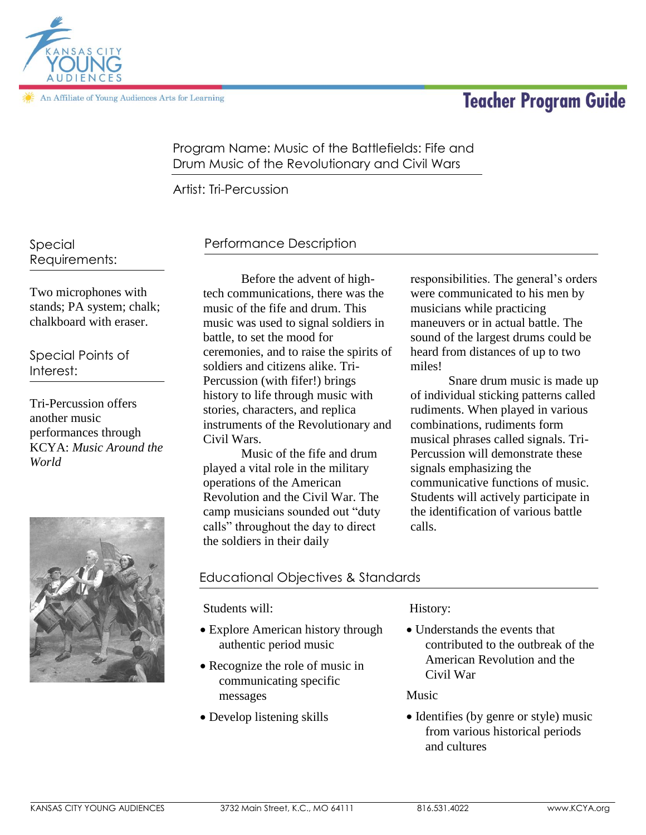An Affiliate of Young Audiences Arts for Learning

# **Teacher Program Guide**



Program Name: Music of the Battlefields: Fife and Drum Music of the Revolutionary and Civil Wars

Artist: Tri-Percussion

Special Requirements:

Two microphones with stands; PA system; chalk; chalkboard with eraser.

Special Points of Interest:

Tri-Percussion offers another music performances through KCYA: *Music Around the World* 



# Performance Description

Before the advent of hightech communications, there was the music of the fife and drum. This music was used to signal soldiers in battle, to set the mood for ceremonies, and to raise the spirits of soldiers and citizens alike. Tri-Percussion (with fifer!) brings history to life through music with stories, characters, and replica instruments of the Revolutionary and Civil Wars.

Music of the fife and drum played a vital role in the military operations of the American Revolution and the Civil War. The camp musicians sounded out "duty calls" throughout the day to direct the soldiers in their daily

responsibilities. The general's orders were communicated to his men by musicians while practicing maneuvers or in actual battle. The sound of the largest drums could be heard from distances of up to two miles!

Snare drum music is made up of individual sticking patterns called rudiments. When played in various combinations, rudiments form musical phrases called signals. Tri-Percussion will demonstrate these signals emphasizing the communicative functions of music. Students will actively participate in the identification of various battle calls.

# Educational Objectives & Standards

Students will:

- Explore American history through authentic period music
- Recognize the role of music in communicating specific messages
- Develop listening skills

#### History:

 Understands the events that contributed to the outbreak of the American Revolution and the Civil War

Music

• Identifies (by genre or style) music from various historical periods and cultures